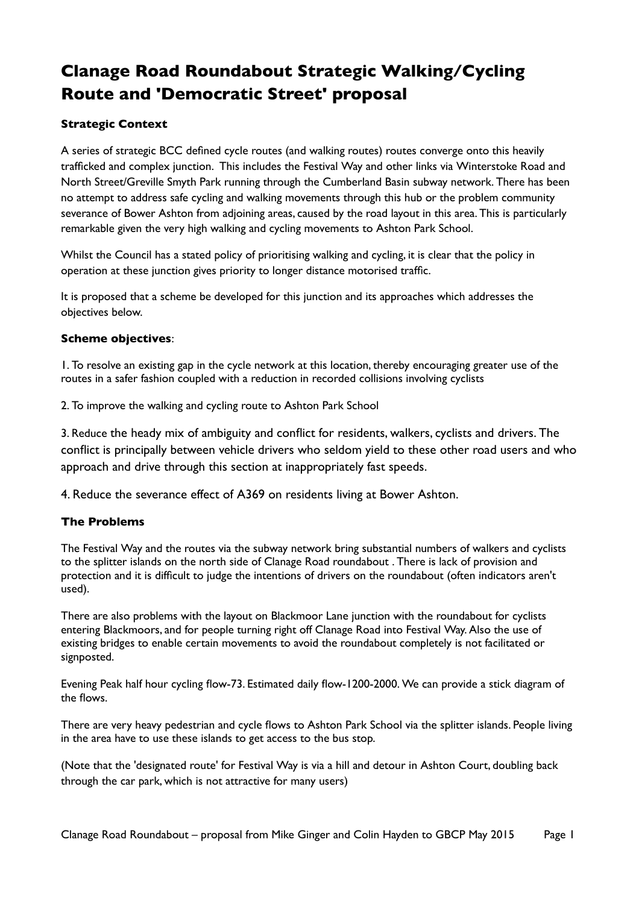# **Clanage Road Roundabout Strategic Walking/Cycling Route and 'Democratic Street' proposal**

# **Strategic Context**

A series of strategic BCC defined cycle routes (and walking routes) routes converge onto this heavily trafficked and complex junction. This includes the Festival Way and other links via Winterstoke Road and North Street/Greville Smyth Park running through the Cumberland Basin subway network. There has been no attempt to address safe cycling and walking movements through this hub or the problem community severance of Bower Ashton from adjoining areas, caused by the road layout in this area. This is particularly remarkable given the very high walking and cycling movements to Ashton Park School.

Whilst the Council has a stated policy of prioritising walking and cycling, it is clear that the policy in operation at these junction gives priority to longer distance motorised traffic.

It is proposed that a scheme be developed for this junction and its approaches which addresses the objectives below.

## **Scheme objectives**:

1. To resolve an existing gap in the cycle network at this location, thereby encouraging greater use of the routes in a safer fashion coupled with a reduction in recorded collisions involving cyclists

2. To improve the walking and cycling route to Ashton Park School

3. Reduce the heady mix of ambiguity and conflict for residents, walkers, cyclists and drivers. The conflict is principally between vehicle drivers who seldom yield to these other road users and who approach and drive through this section at inappropriately fast speeds.

4. Reduce the severance effect of A369 on residents living at Bower Ashton.

# **The Problems**

The Festival Way and the routes via the subway network bring substantial numbers of walkers and cyclists to the splitter islands on the north side of Clanage Road roundabout . There is lack of provision and protection and it is difficult to judge the intentions of drivers on the roundabout (often indicators aren't used).

There are also problems with the layout on Blackmoor Lane junction with the roundabout for cyclists entering Blackmoors, and for people turning right off Clanage Road into Festival Way. Also the use of existing bridges to enable certain movements to avoid the roundabout completely is not facilitated or signposted.

Evening Peak half hour cycling flow-73. Estimated daily flow-1200-2000. We can provide a stick diagram of the flows.

There are very heavy pedestrian and cycle flows to Ashton Park School via the splitter islands. People living in the area have to use these islands to get access to the bus stop.

(Note that the 'designated route' for Festival Way is via a hill and detour in Ashton Court, doubling back through the car park, which is not attractive for many users)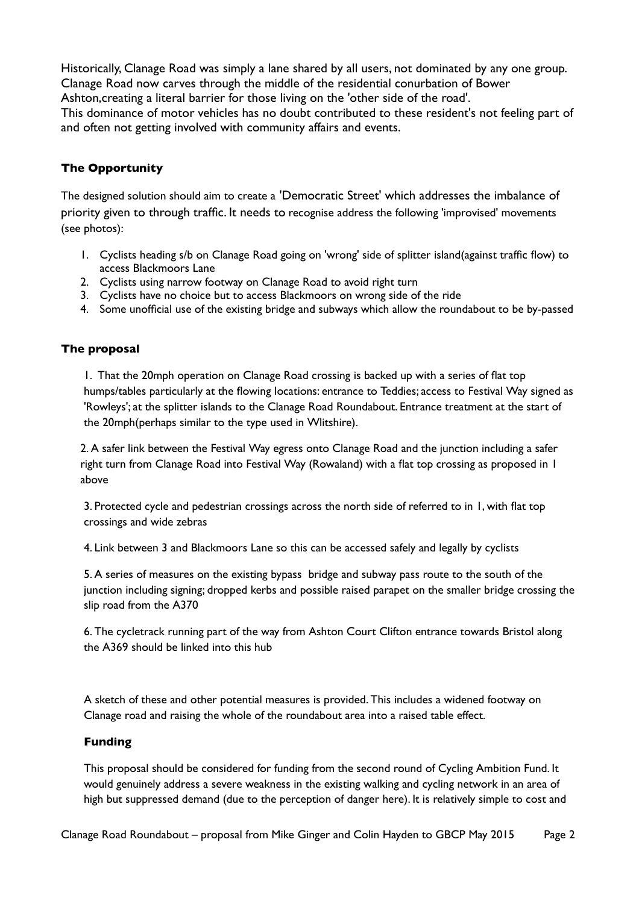Historically, Clanage Road was simply a lane shared by all users, not dominated by any one group. Clanage Road now carves through the middle of the residential conurbation of Bower Ashton,creating a literal barrier for those living on the 'other side of the road'. This dominance of motor vehicles has no doubt contributed to these resident's not feeling part of and often not getting involved with community affairs and events.

# **The Opportunity**

The designed solution should aim to create a 'Democratic Street' which addresses the imbalance of priority given to through traffic. It needs to recognise address the following 'improvised' movements (see photos):

- 1. Cyclists heading s/b on Clanage Road going on 'wrong' side of splitter island(against traffic flow) to access Blackmoors Lane
- 2. Cyclists using narrow footway on Clanage Road to avoid right turn
- 3. Cyclists have no choice but to access Blackmoors on wrong side of the ride
- 4. Some unofficial use of the existing bridge and subways which allow the roundabout to be by-passed

## **The proposal**

1. That the 20mph operation on Clanage Road crossing is backed up with a series of flat top humps/tables particularly at the flowing locations: entrance to Teddies; access to Festival Way signed as 'Rowleys'; at the splitter islands to the Clanage Road Roundabout. Entrance treatment at the start of the 20mph(perhaps similar to the type used in Wlitshire).

2. A safer link between the Festival Way egress onto Clanage Road and the junction including a safer right turn from Clanage Road into Festival Way (Rowaland) with a flat top crossing as proposed in 1 above

3. Protected cycle and pedestrian crossings across the north side of referred to in 1, with flat top crossings and wide zebras

4. Link between 3 and Blackmoors Lane so this can be accessed safely and legally by cyclists

5. A series of measures on the existing bypass bridge and subway pass route to the south of the junction including signing; dropped kerbs and possible raised parapet on the smaller bridge crossing the slip road from the A370

6. The cycletrack running part of the way from Ashton Court Clifton entrance towards Bristol along the A369 should be linked into this hub

A sketch of these and other potential measures is provided. This includes a widened footway on Clanage road and raising the whole of the roundabout area into a raised table effect.

#### **Funding**

This proposal should be considered for funding from the second round of Cycling Ambition Fund. It would genuinely address a severe weakness in the existing walking and cycling network in an area of high but suppressed demand (due to the perception of danger here). It is relatively simple to cost and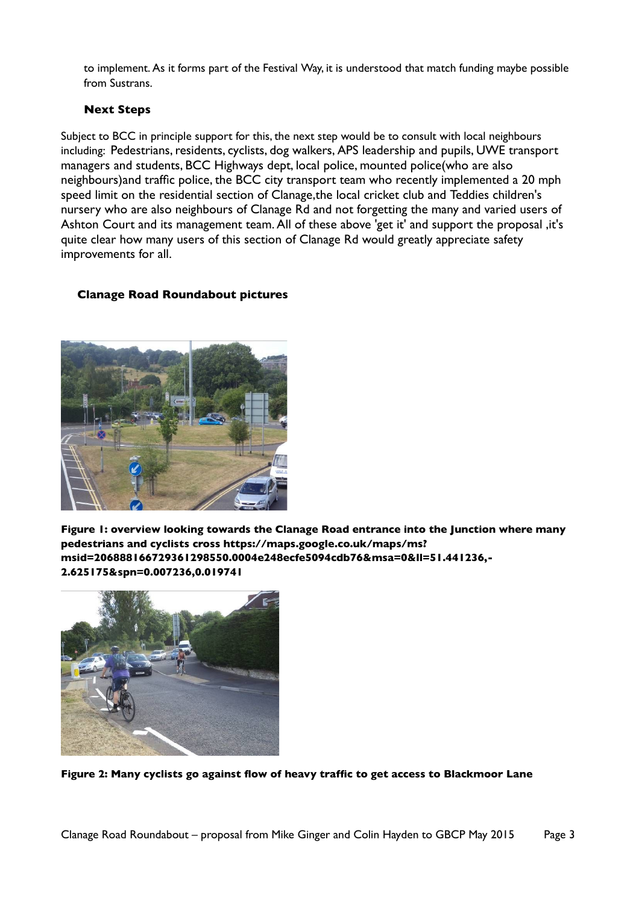to implement. As it forms part of the Festival Way, it is understood that match funding maybe possible from Sustrans.

## **Next Steps**

Subject to BCC in principle support for this, the next step would be to consult with local neighbours including: Pedestrians, residents, cyclists, dog walkers, APS leadership and pupils, UWE transport managers and students, BCC Highways dept, local police, mounted police(who are also neighbours)and traffic police, the BCC city transport team who recently implemented a 20 mph speed limit on the residential section of Clanage,the local cricket club and Teddies children's nursery who are also neighbours of Clanage Rd and not forgetting the many and varied users of Ashton Court and its management team. All of these above 'get it' and support the proposal, it's quite clear how many users of this section of Clanage Rd would greatly appreciate safety improvements for all.

# **Clanage Road Roundabout pictures**



**Figure 1: overview looking towards the Clanage Road entrance into the Junction where many pedestrians and cyclists cross https://maps.google.co.uk/maps/ms? msid=206888166729361298550.0004e248ecfe5094cdb76&msa=0&ll=51.441236,- 2.625175&spn=0.007236,0.019741**



**Figure 2: Many cyclists go against flow of heavy traffic to get access to Blackmoor Lane**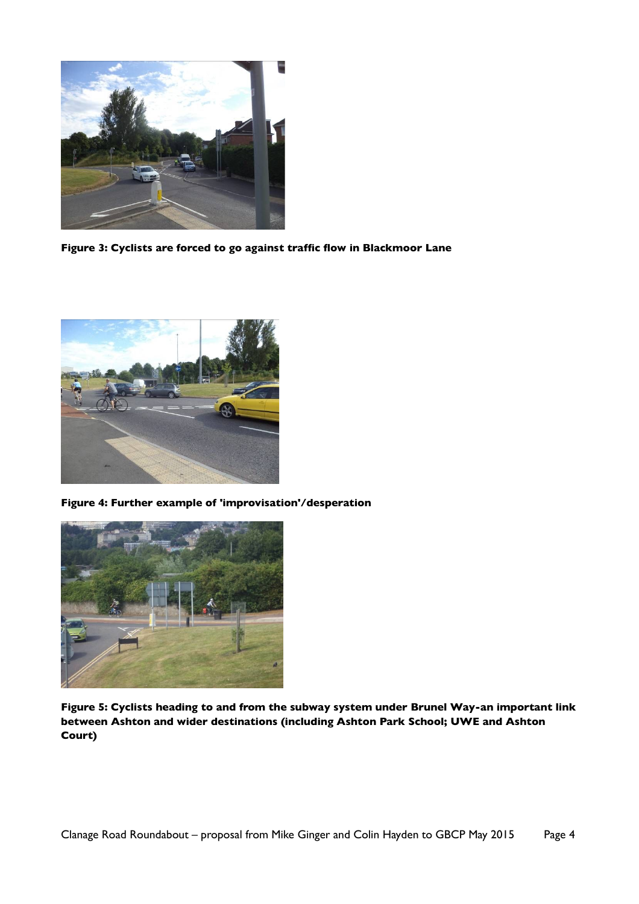

**Figure 3: Cyclists are forced to go against traffic flow in Blackmoor Lane**



**Figure 4: Further example of 'improvisation'/desperation**



**Figure 5: Cyclists heading to and from the subway system under Brunel Way-an important link between Ashton and wider destinations (including Ashton Park School; UWE and Ashton Court)**